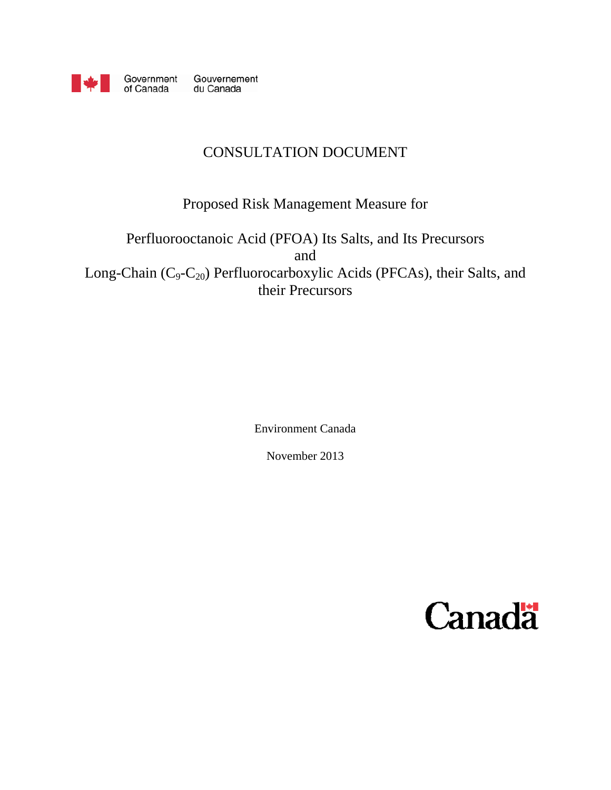

Government Gouvernement<br>of Canada du Canada

# CONSULTATION DOCUMENT

# Proposed Risk Management Measure for

# Perfluorooctanoic Acid (PFOA) Its Salts, and Its Precursors and Long-Chain (C<sub>9</sub>-C<sub>20</sub>) Perfluorocarboxylic Acids (PFCAs), their Salts, and their Precursors

Environment Canada

November 2013

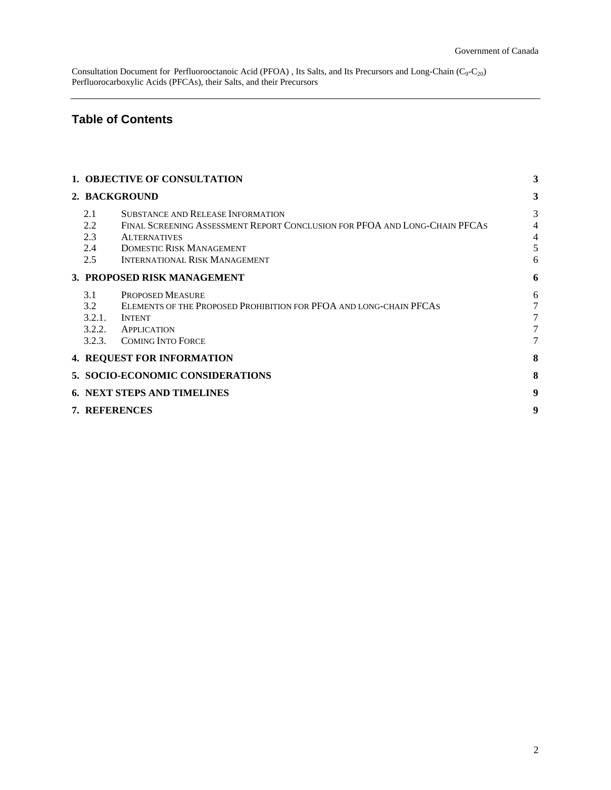# **Table of Contents**

|                    | 1. OBJECTIVE OF CONSULTATION             |                                                                                                                                                                                                                          |                  |  |
|--------------------|------------------------------------------|--------------------------------------------------------------------------------------------------------------------------------------------------------------------------------------------------------------------------|------------------|--|
|                    | 2. BACKGROUND                            |                                                                                                                                                                                                                          | 3                |  |
|                    | 2.1<br>2.2<br>2.3<br>2.4<br>2.5          | <b>SUBSTANCE AND RELEASE INFORMATION</b><br>FINAL SCREENING ASSESSMENT REPORT CONCLUSION FOR PFOA AND LONG-CHAIN PFCAS<br><b>ALTERNATIVES</b><br><b>DOMESTIC RISK MANAGEMENT</b><br><b>INTERNATIONAL RISK MANAGEMENT</b> | 3<br>4<br>4<br>6 |  |
|                    | 3. PROPOSED RISK MANAGEMENT              |                                                                                                                                                                                                                          |                  |  |
|                    | 3.1<br>3.2<br>3.2.1.<br>3.2.2.<br>3.2.3. | PROPOSED MEASURE<br>ELEMENTS OF THE PROPOSED PROHIBITION FOR PFOA AND LONG-CHAIN PFCAS<br><b>INTENT</b><br>APPLICATION<br><b>COMING INTO FORCE</b>                                                                       | 6<br>7           |  |
|                    |                                          | <b>4. REQUEST FOR INFORMATION</b>                                                                                                                                                                                        | 8                |  |
|                    |                                          | 5. SOCIO-ECONOMIC CONSIDERATIONS                                                                                                                                                                                         | 8                |  |
|                    | <b>6. NEXT STEPS AND TIMELINES</b>       |                                                                                                                                                                                                                          |                  |  |
| 9<br>7. REFERENCES |                                          |                                                                                                                                                                                                                          |                  |  |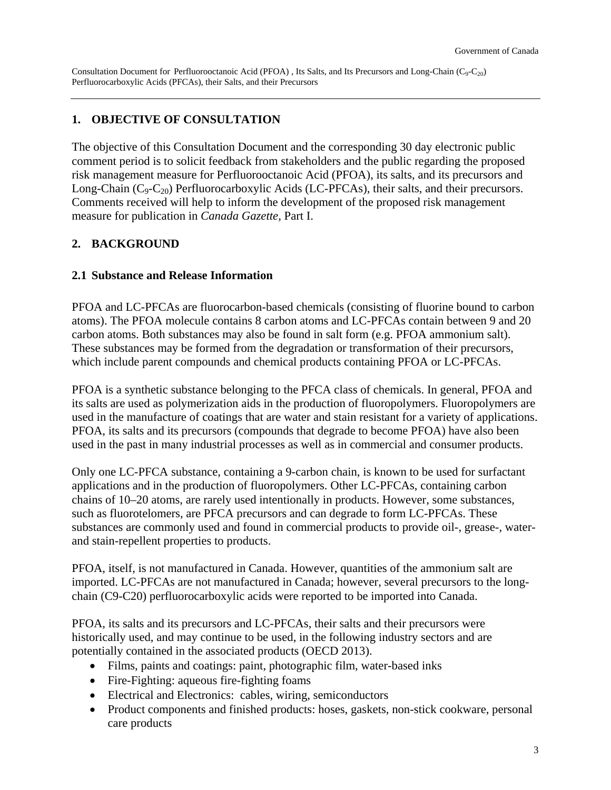### <span id="page-2-0"></span>**1. OBJECTIVE OF CONSULTATION**

The objective of this Consultation Document and the corresponding 30 day electronic public comment period is to solicit feedback from stakeholders and the public regarding the proposed risk management measure for Perfluorooctanoic Acid (PFOA), its salts, and its precursors and Long-Chain  $(C_9-C_{20})$  Perfluorocarboxylic Acids (LC-PFCAs), their salts, and their precursors. Comments received will help to inform the development of the proposed risk management measure for publication in *Canada Gazette,* Part I.

### **2. BACKGROUND**

#### **2.1 Substance and Release Information**

PFOA and LC-PFCAs are fluorocarbon-based chemicals (consisting of fluorine bound to carbon atoms). The PFOA molecule contains 8 carbon atoms and LC-PFCAs contain between 9 and 20 carbon atoms. Both substances may also be found in salt form (e.g. PFOA ammonium salt). These substances may be formed from the degradation or transformation of their precursors, which include parent compounds and chemical products containing PFOA or LC-PFCAs.

PFOA is a synthetic substance belonging to the PFCA class of chemicals. In general, PFOA and its salts are used as polymerization aids in the production of fluoropolymers. Fluoropolymers are used in the manufacture of coatings that are water and stain resistant for a variety of applications. PFOA, its salts and its precursors (compounds that degrade to become PFOA) have also been used in the past in many industrial processes as well as in commercial and consumer products.

Only one LC-PFCA substance, containing a 9-carbon chain, is known to be used for surfactant applications and in the production of fluoropolymers. Other LC-PFCAs, containing carbon chains of 10–20 atoms, are rarely used intentionally in products. However, some substances, such as fluorotelomers, are PFCA precursors and can degrade to form LC-PFCAs. These substances are commonly used and found in commercial products to provide oil-, grease-, waterand stain-repellent properties to products.

PFOA, itself, is not manufactured in Canada. However, quantities of the ammonium salt are imported. LC-PFCAs are not manufactured in Canada; however, several precursors to the longchain (C9-C20) perfluorocarboxylic acids were reported to be imported into Canada.

PFOA, its salts and its precursors and LC-PFCAs, their salts and their precursors were historically used, and may continue to be used, in the following industry sectors and are potentially contained in the associated products (OECD 2013).

- Films, paints and coatings: paint, photographic film, water-based inks
- Fire-Fighting: aqueous fire-fighting foams
- Electrical and Electronics: cables, wiring, semiconductors
- Product components and finished products: hoses, gaskets, non-stick cookware, personal care products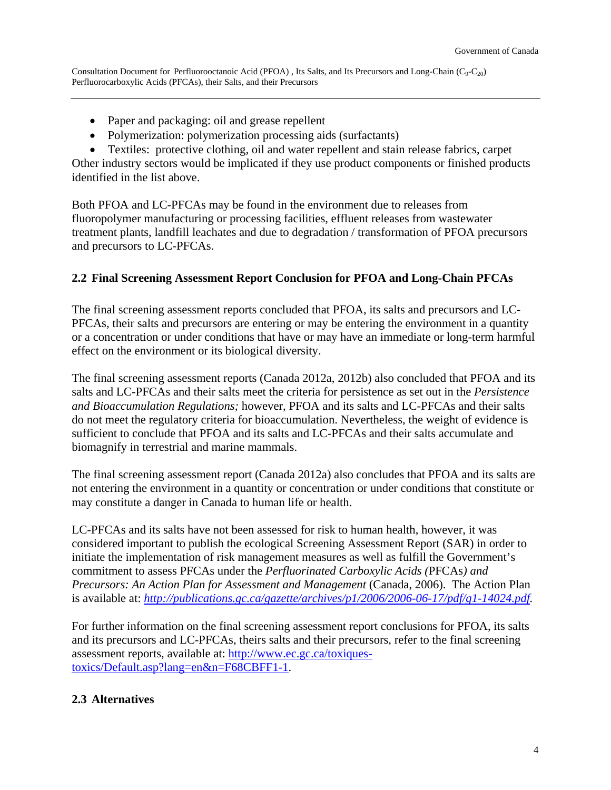- <span id="page-3-0"></span>• Paper and packaging: oil and grease repellent
- Polymerization: polymerization processing aids (surfactants)
- Textiles: protective clothing, oil and water repellent and stain release fabrics, carpet

Other industry sectors would be implicated if they use product components or finished products identified in the list above.

Both PFOA and LC-PFCAs may be found in the environment due to releases from fluoropolymer manufacturing or processing facilities, effluent releases from wastewater treatment plants, landfill leachates and due to degradation / transformation of PFOA precursors and precursors to LC-PFCAs.

## **2.2 Final Screening Assessment Report Conclusion for PFOA and Long-Chain PFCAs**

The final screening assessment reports concluded that PFOA, its salts and precursors and LC-PFCAs, their salts and precursors are entering or may be entering the environment in a quantity or a concentration or under conditions that have or may have an immediate or long-term harmful effect on the environment or its biological diversity.

The final screening assessment reports (Canada 2012a, 2012b) also concluded that PFOA and its salts and LC-PFCAs and their salts meet the criteria for persistence as set out in the *Persistence and Bioaccumulation Regulations;* however, PFOA and its salts and LC-PFCAs and their salts do not meet the regulatory criteria for bioaccumulation. Nevertheless, the weight of evidence is sufficient to conclude that PFOA and its salts and LC-PFCAs and their salts accumulate and biomagnify in terrestrial and marine mammals.

The final screening assessment report (Canada 2012a) also concludes that PFOA and its salts are not entering the environment in a quantity or concentration or under conditions that constitute or may constitute a danger in Canada to human life or health.

LC-PFCAs and its salts have not been assessed for risk to human health, however, it was considered important to publish the ecological Screening Assessment Report (SAR) in order to initiate the implementation of risk management measures as well as fulfill the Government's commitment to assess PFCAs under the *Perfluorinated Carboxylic Acids (*PFCAs*) and Precursors: An Action Plan for Assessment and Management* (Canada, 2006). The Action Plan is available at: *<http://publications.gc.ca/gazette/archives/p1/2006/2006-06-17/pdf/g1-14024.pdf>.* 

For further information on the final screening assessment report conclusions for [PFOA,](http://www.ec.gc.ca/ese-ees/default.asp?lang=En&n=370AB133-1) its salts and its precursors and LC[-PFCAs,](http://www.ec.gc.ca/ese-ees/default.asp?lang=En&n=CA29B043-1) theirs salts and their precursors, refer to the final screening assessment reports, available at: [http://www.ec.gc.ca/toxiques](http://www.ec.gc.ca/toxiques-toxics/Default.asp?lang=en&n=F68CBFF1-1)[toxics/Default.asp?lang=en&n=F68CBFF1-1](http://www.ec.gc.ca/toxiques-toxics/Default.asp?lang=en&n=F68CBFF1-1).

# **2.3 Alternatives**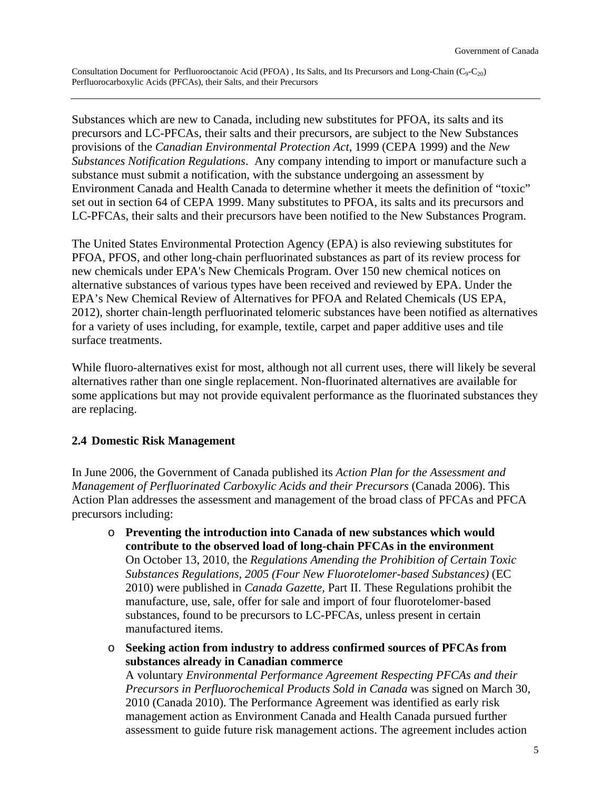<span id="page-4-0"></span>Substances which are new to Canada, including new substitutes for PFOA, its salts and its precursors and LC-PFCAs, their salts and their precursors, are subject to the New Substances provisions of the *Canadian Environmental Protection Act*, 1999 (CEPA 1999) and the *New Substances Notification Regulations*. Any company intending to import or manufacture such a substance must submit a notification, with the substance undergoing an assessment by Environment Canada and Health Canada to determine whether it meets the definition of "toxic" set out in section 64 of CEPA 1999. Many substitutes to PFOA, its salts and its precursors and LC-PFCAs, their salts and their precursors have been notified to the New Substances Program.

The United States Environmental Protection Agency (EPA) is also reviewing substitutes for PFOA, PFOS, and other long-chain perfluorinated substances as part of its review process for new chemicals under EPA's New Chemicals Program. Over 150 new chemical notices on alternative substances of various types have been received and reviewed by EPA. Under the EPA's New Chemical Review of Alternatives for PFOA and Related Chemicals (US EPA, 2012), shorter chain-length perfluorinated telomeric substances have been notified as alternatives for a variety of uses including, for example, textile, carpet and paper additive uses and tile surface treatments.

While fluoro-alternatives exist for most, although not all current uses, there will likely be several alternatives rather than one single replacement. Non-fluorinated alternatives are available for some applications but may not provide equivalent performance as the fluorinated substances they are replacing.

#### **2.4 Domestic Risk Management**

In June 2006, the Government of Canada published its *Action Plan for the Assessment and Management of Perfluorinated Carboxylic Acids and their Precursors* (Canada 2006). This Action Plan addresses the assessment and management of the broad class of PFCAs and PFCA precursors including:

- o **Preventing the introduction into Canada of new substances which would contribute to the observed load of long-chain PFCAs in the environment** On October 13, 2010, the *Regulations Amending the Prohibition of Certain Toxic Substances Regulations, 2005 (Four New Fluorotelomer-based Substances)* (EC 2010) were published in *Canada Gazette*, Part II. These Regulations prohibit the manufacture, use, sale, offer for sale and import of four fluorotelomer-based substances, found to be precursors to LC-PFCAs, unless present in certain manufactured items.
- o **Seeking action from industry to address confirmed sources of PFCAs from substances already in Canadian commerce** A voluntary *Environmental Performance Agreement Respecting PFCAs and their Precursors in Perfluorochemical Products Sold in Canada* was signed on March 30, 2010 (Canada 2010). The Performance Agreement was identified as early risk

management action as Environment Canada and Health Canada pursued further assessment to guide future risk management actions. The agreement includes action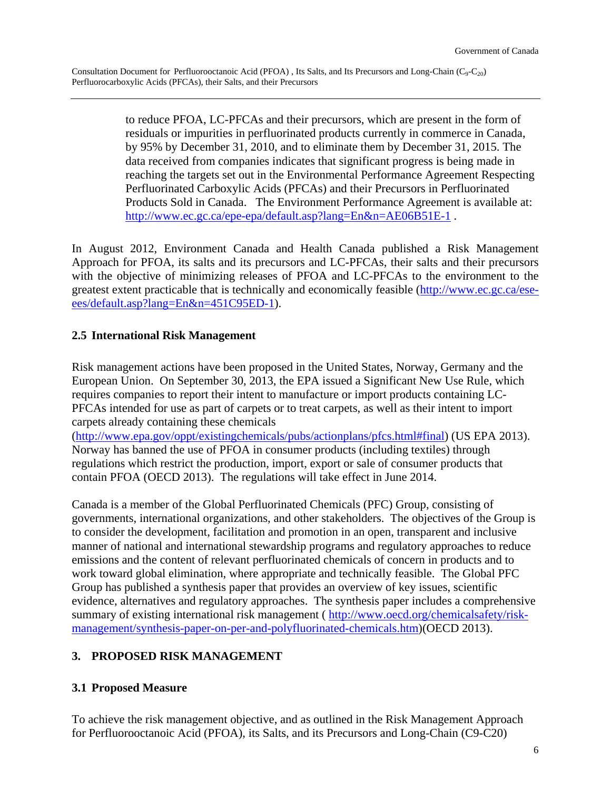<span id="page-5-0"></span>to reduce PFOA, LC-PFCAs and their precursors, which are present in the form of residuals or impurities in perfluorinated products currently in commerce in Canada, by 95% by December 31, 2010, and to eliminate them by December 31, 2015. The data received from companies indicates that significant progress is being made in reaching the targets set out in the Environmental Performance Agreement Respecting Perfluorinated Carboxylic Acids (PFCAs) and their Precursors in Perfluorinated Products Sold in Canada. The Environment Performance Agreement is available at: http://www.ec.gc.ca/epe-epa/default.asp?lang=En&n=AE06B51E-1.

In August 2012, Environment Canada and Health Canada published a Risk Management Approach for PFOA, its salts and its precursors and LC-PFCAs, their salts and their precursors with the objective of minimizing releases of PFOA and LC-PFCAs to the environment to the greatest extent practicable that is technically and economically feasible [\(http://www.ec.gc.ca/ese](http://www.ec.gc.ca/ese-ees/default.asp?lang=En&n=451C95ED-1)[ees/default.asp?lang=En&n=451C95ED-1](http://www.ec.gc.ca/ese-ees/default.asp?lang=En&n=451C95ED-1)).

## **2.5 International Risk Management**

Risk management actions have been proposed in the United States, Norway, Germany and the European Union. On September 30, 2013, the EPA issued a Significant New Use Rule, which requires companies to report their intent to manufacture or import products containing LC-PFCAs intended for use as part of carpets or to treat carpets, as well as their intent to import carpets already containing these chemicals

([http://www.epa.gov/oppt/existingchemicals/pubs/actionplans/pfcs.html#final\)](http://www.epa.gov/oppt/existingchemicals/pubs/actionplans/pfcs.html#final) (US EPA 2013). Norway has banned the use of PFOA in consumer products (including textiles) through regulations which restrict the production, import, export or sale of consumer products that contain PFOA (OECD 2013). The regulations will take effect in June 2014.

Canada is a member of the Global Perfluorinated Chemicals (PFC) Group, consisting of governments, international organizations, and other stakeholders. The objectives of the Group is to consider the development, facilitation and promotion in an open, transparent and inclusive manner of national and international stewardship programs and regulatory approaches to reduce emissions and the content of relevant perfluorinated chemicals of concern in products and to work toward global elimination, where appropriate and technically feasible. The Global PFC Group has published a synthesis paper that provides an overview of key issues, scientific evidence, alternatives and regulatory approaches. The synthesis paper includes a comprehensive summary of existing international risk management ( [http://www.oecd.org/chemicalsafety/risk](http://www.oecd.org/chemicalsafety/risk-management/synthesis-paper-on-per-and-polyfluorinated-chemicals.htm)[management/synthesis-paper-on-per-and-polyfluorinated-chemicals.htm\)](http://www.oecd.org/chemicalsafety/risk-management/synthesis-paper-on-per-and-polyfluorinated-chemicals.htm)(OECD 2013).

## **3. PROPOSED RISK MANAGEMENT**

## **3.1 Proposed Measure**

To achieve the risk management objective, and as outlined in the [Risk Management Approach](http://www.ec.gc.ca/ese-ees/default.asp?lang=En&n=451C95ED-1)  [for Perfluorooctanoic Acid \(PFOA\), its Salts, and its Precursors and Long-Chain \(C9-C20\)](http://www.ec.gc.ca/ese-ees/default.asp?lang=En&n=451C95ED-1)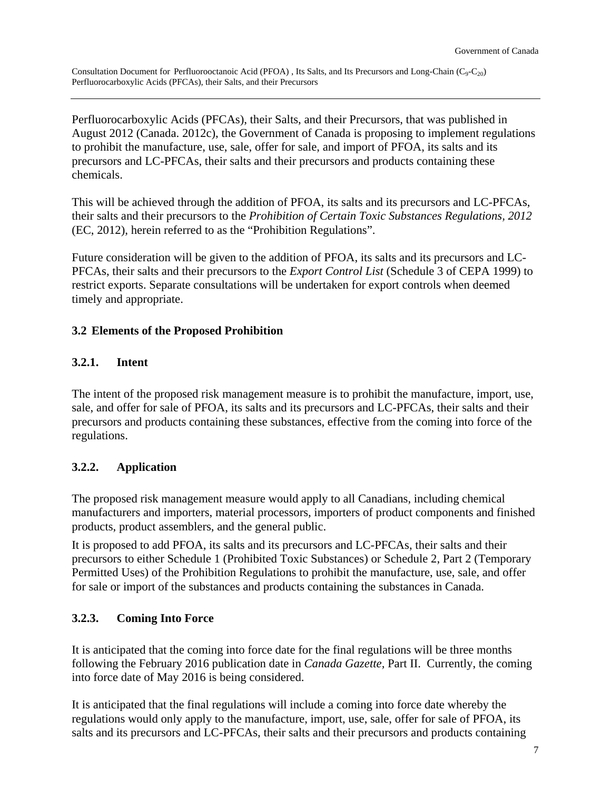<span id="page-6-0"></span>[Perfluorocarboxylic Acids \(PFCAs\), their Salts, and their Precursors,](http://www.ec.gc.ca/ese-ees/default.asp?lang=En&n=451C95ED-1) that was published in August 2012 (Canada. 2012c), the Government of Canada is proposing to implement regulations to prohibit the manufacture, use, sale, offer for sale, and import of PFOA, its salts and its precursors and LC-PFCAs, their salts and their precursors and products containing these chemicals.

This will be achieved through the addition of PFOA, its salts and its precursors and LC-PFCAs, their salts and their precursors to the *[Prohibition of Certain Toxic Substances Regulations, 2012](http://www.ec.gc.ca/lcpe-cepa/eng/Regulations/DetailReg.cfm?intReg=207)* (EC, 2012), herein referred to as the "Prohibition Regulations".

Future consideration will be given to the addition of PFOA, its salts and its precursors and LC-PFCAs, their salts and their precursors to the *Export Control List* (Schedule 3 of CEPA 1999) to restrict exports. Separate consultations will be undertaken for export controls when deemed timely and appropriate.

## **3.2 Elements of the Proposed Prohibition**

### **3.2.1. Intent**

The intent of the proposed risk management measure is to prohibit the manufacture, import, use, sale, and offer for sale of PFOA, its salts and its precursors and LC-PFCAs, their salts and their precursors and products containing these substances, effective from the coming into force of the regulations.

## **3.2.2. Application**

The proposed risk management measure would apply to all Canadians, including chemical manufacturers and importers, material processors, importers of product components and finished products, product assemblers, and the general public.

It is proposed to add PFOA, its salts and its precursors and LC-PFCAs, their salts and their precursors to either Schedule 1 (Prohibited Toxic Substances) or Schedule 2, Part 2 (Temporary Permitted Uses) of the Prohibition Regulations to prohibit the manufacture, use, sale, and offer for sale or import of the substances and products containing the substances in Canada.

## **3.2.3. Coming Into Force**

It is anticipated that the coming into force date for the final regulations will be three months following the February 2016 publication date in *Canada Gazette,* Part II. Currently, the coming into force date of May 2016 is being considered.

It is anticipated that the final regulations will include a coming into force date whereby the regulations would only apply to the manufacture, import, use, sale, offer for sale of PFOA, its salts and its precursors and LC-PFCAs, their salts and their precursors and products containing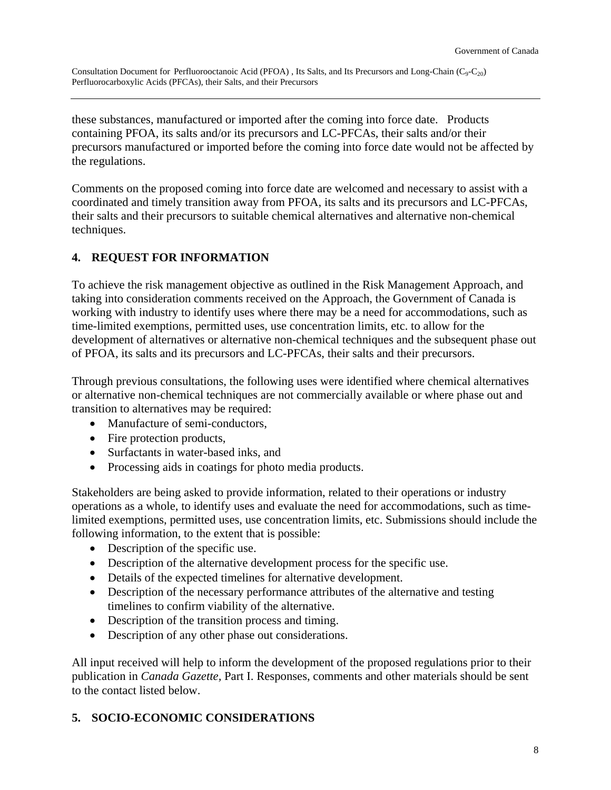<span id="page-7-0"></span>these substances, manufactured or imported after the coming into force date. Products containing PFOA, its salts and/or its precursors and LC-PFCAs, their salts and/or their precursors manufactured or imported before the coming into force date would not be affected by the regulations.

Comments on the proposed coming into force date are welcomed and necessary to assist with a coordinated and timely transition away from PFOA, its salts and its precursors and LC-PFCAs, their salts and their precursors to suitable chemical alternatives and alternative non-chemical techniques.

# **4. REQUEST FOR INFORMATION**

To achieve the risk management objective as outlined in the Risk Management Approach, and taking into consideration comments received on the Approach, the Government of Canada is working with industry to identify uses where there may be a need for accommodations, such as time-limited exemptions, permitted uses, use concentration limits, etc. to allow for the development of alternatives or alternative non-chemical techniques and the subsequent phase out of PFOA, its salts and its precursors and LC-PFCAs, their salts and their precursors.

Through previous consultations, the following uses were identified where chemical alternatives or alternative non-chemical techniques are not commercially available or where phase out and transition to alternatives may be required:

- Manufacture of semi-conductors,
- Fire protection products,
- Surfactants in water-based inks, and
- Processing aids in coatings for photo media products.

Stakeholders are being asked to provide information, related to their operations or industry operations as a whole, to identify uses and evaluate the need for accommodations, such as timelimited exemptions, permitted uses, use concentration limits, etc. Submissions should include the following information, to the extent that is possible:

- Description of the specific use.
- Description of the alternative development process for the specific use.
- Details of the expected timelines for alternative development.
- Description of the necessary performance attributes of the alternative and testing timelines to confirm viability of the alternative.
- Description of the transition process and timing.
- Description of any other phase out considerations.

All input received will help to inform the development of the proposed regulations prior to their publication in *Canada Gazette,* Part I. Responses, comments and other materials should be sent to the contact listed below.

## **5. SOCIO-ECONOMIC CONSIDERATIONS**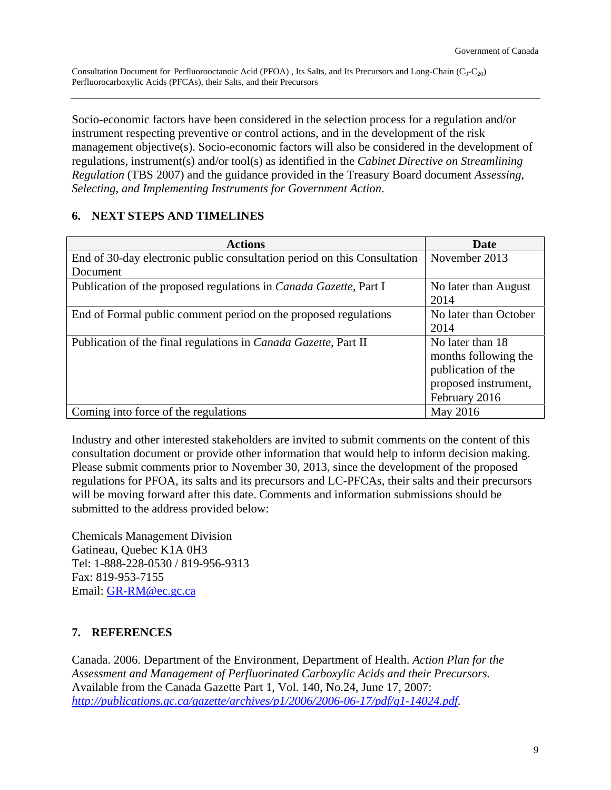<span id="page-8-0"></span>Socio-economic factors have been considered in the selection process for a regulation and/or instrument respecting preventive or control actions, and in the development of the risk management objective(s). Socio-economic factors will also be considered in the development of regulations, instrument(s) and/or tool(s) as identified in the *Cabinet Directive on Streamlining Regulation* (TBS 2007) and the guidance provided in the Treasury Board document *Assessing, Selecting, and Implementing Instruments for Government Action*.

### **6. NEXT STEPS AND TIMELINES**

| <b>Actions</b>                                                            | Date                  |  |
|---------------------------------------------------------------------------|-----------------------|--|
| End of 30-day electronic public consultation period on this Consultation  | November 2013         |  |
| Document                                                                  |                       |  |
| Publication of the proposed regulations in <i>Canada Gazette</i> , Part I | No later than August  |  |
|                                                                           | 2014                  |  |
| End of Formal public comment period on the proposed regulations           | No later than October |  |
|                                                                           | 2014                  |  |
| Publication of the final regulations in <i>Canada Gazette</i> , Part II   | No later than 18      |  |
|                                                                           | months following the  |  |
|                                                                           | publication of the    |  |
|                                                                           | proposed instrument,  |  |
|                                                                           | February 2016         |  |
| Coming into force of the regulations                                      | May 2016              |  |

Industry and other interested stakeholders are invited to submit comments on the content of this consultation document or provide other information that would help to inform decision making. Please submit comments prior to November 30, 2013, since the development of the proposed regulations for PFOA, its salts and its precursors and LC-PFCAs, their salts and their precursors will be moving forward after this date. Comments and information submissions should be submitted to the address provided below:

Chemicals Management Division Gatineau, Quebec K1A 0H3 Tel: 1-888-228-0530 / 819-956-9313 Fax: 819-953-7155 Email: [GR-RM@ec.gc.ca](mailto:GR-RM@ec.gc.ca)

## **7. REFERENCES**

Canada. 2006. Department of the Environment, Department of Health. *Action Plan for the Assessment and Management of Perfluorinated Carboxylic Acids and their Precursors.* Available from the Canada Gazette Part 1, Vol. 140, No.24, June 17, 2007: *<http://publications.gc.ca/gazette/archives/p1/2006/2006-06-17/pdf/g1-14024.pdf>.*